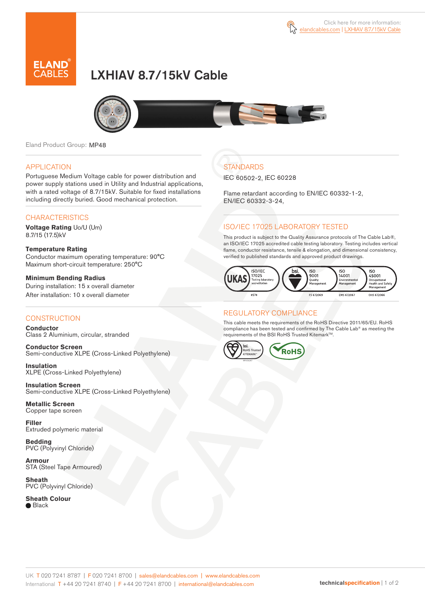

# LXHIAV 8.7/15kV Cable



Eland Product Group: MP48

#### APPLICATION

Portuguese Medium Voltage cable for power distribution and power supply stations used in Utility and Industrial applications, with a rated voltage of 8.7/15kV. Suitable for fixed installations including directly buried. Good mechanical protection.

### **CHARACTERISTICS**

**Voltage Rating** Uo/U (Um) 8.7/15 (17.5)kV

**Temperature Rating**  Conductor maximum operating temperature: 90°C Maximum short-circuit temperature: 250°C

**Minimum Bending Radius**  During installation: 15 x overall diameter After installation: 10 x overall diameter

#### **CONSTRUCTION**

**Conductor**  Class 2 Aluminium, circular, stranded

**Conductor Screen** Semi-conductive XLPE (Cross-Linked Polyethylene)

**Insulation** XLPE (Cross-Linked Polyethylene)

**Insulation Screen** Semi-conductive XLPE (Cross-Linked Polyethylene)

**Metallic Screen**  Copper tape screen

**Filler** Extruded polymeric material

**Bedding** PVC (Polyvinyl Chloride)

**Armour** STA (Steel Tape Armoured)

**Sheath** PVC (Polyvinyl Chloride)

**Sheath Colour**

● Black

## **STANDARDS**

IEC 60502-2, IEC 60228

Flame retardant according to EN/IEC 60332-1-2, EN/IEC 60332-3-24,

### ISO/IEC 17025 LABORATORY TESTED

This product is subject to the Quality Assurance protocols of The Cable Lab®, an ISO/IEC 17025 accredited cable testing laboratory. Testing includes vertical flame, conductor resistance, tensile & elongation, and dimensional consistency, verified to published standards and approved product drawings.



### REGULATORY COMPLIANCE

This cable meets the requirements of the RoHS Directive 2011/65/EU. RoHS compliance has been tested and confirmed by The Cable Lab® as meeting the requirements of the BSI RoHS Trusted Kitemark™.